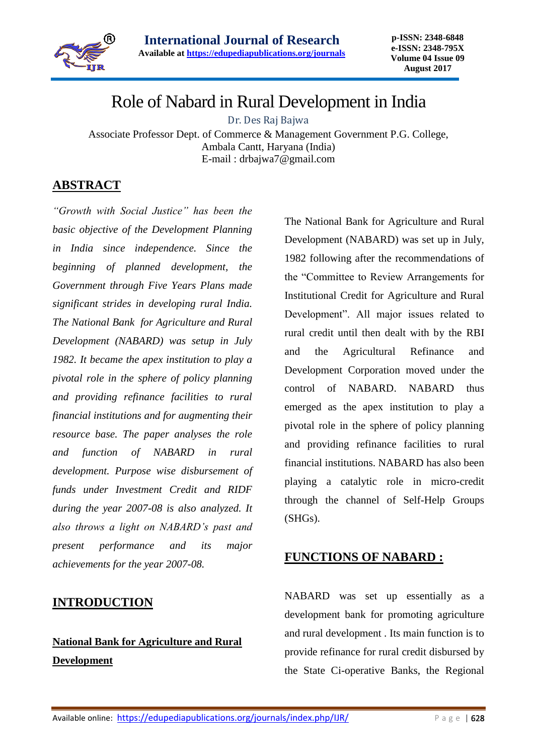

# Role of Nabard in Rural Development in India

Dr. Des Raj Bajwa

Associate Professor Dept. of Commerce & Management Government P.G. College, Ambala Cantt, Haryana (India) E-mail : drbajwa7@gmail.com

## **ABSTRACT**

*"Growth with Social Justice" has been the basic objective of the Development Planning in India since independence. Since the beginning of planned development, the Government through Five Years Plans made significant strides in developing rural India. The National Bank for Agriculture and Rural Development (NABARD) was setup in July 1982. It became the apex institution to play a pivotal role in the sphere of policy planning and providing refinance facilities to rural financial institutions and for augmenting their resource base. The paper analyses the role and function of NABARD in rural development. Purpose wise disbursement of funds under Investment Credit and RIDF during the year 2007-08 is also analyzed. It also throws a light on NABARD's past and present performance and its major achievements for the year 2007-08.*

## **INTRODUCTION**

# **National Bank for Agriculture and Rural Development**

The National Bank for Agriculture and Rural Development (NABARD) was set up in July, 1982 following after the recommendations of the "Committee to Review Arrangements for Institutional Credit for Agriculture and Rural Development". All major issues related to rural credit until then dealt with by the RBI and the Agricultural Refinance and Development Corporation moved under the control of NABARD. NABARD thus emerged as the apex institution to play a pivotal role in the sphere of policy planning and providing refinance facilities to rural financial institutions. NABARD has also been playing a catalytic role in micro-credit through the channel of Self-Help Groups (SHGs).

## **FUNCTIONS OF NABARD :**

NABARD was set up essentially as a development bank for promoting agriculture and rural development . Its main function is to provide refinance for rural credit disbursed by the State Ci-operative Banks, the Regional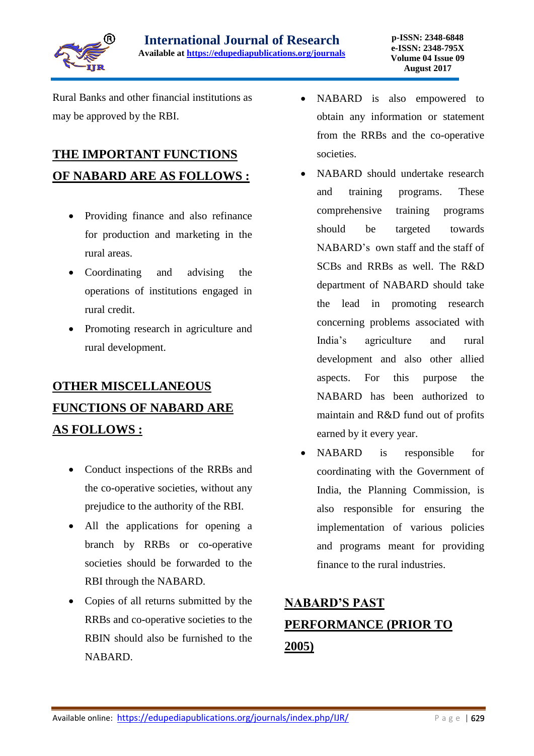

Rural Banks and other financial institutions as may be approved by the RBI.

# **THE IMPORTANT FUNCTIONS OF NABARD ARE AS FOLLOWS :**

- Providing finance and also refinance for production and marketing in the rural areas.
- Coordinating and advising the operations of institutions engaged in rural credit.
- Promoting research in agriculture and rural development.

# **OTHER MISCELLANEOUS FUNCTIONS OF NABARD ARE AS FOLLOWS :**

- Conduct inspections of the RRBs and the co-operative societies, without any prejudice to the authority of the RBI.
- All the applications for opening a branch by RRBs or co-operative societies should be forwarded to the RBI through the NABARD.
- Copies of all returns submitted by the RRBs and co-operative societies to the RBIN should also be furnished to the NABARD.
- NABARD is also empowered to obtain any information or statement from the RRBs and the co-operative societies.
- NABARD should undertake research and training programs. These comprehensive training programs should be targeted towards NABARD's own staff and the staff of SCBs and RRBs as well. The R&D department of NABARD should take the lead in promoting research concerning problems associated with India's agriculture and rural development and also other allied aspects. For this purpose the NABARD has been authorized to maintain and R&D fund out of profits earned by it every year.
- NABARD is responsible for coordinating with the Government of India, the Planning Commission, is also responsible for ensuring the implementation of various policies and programs meant for providing finance to the rural industries.

# **NABARD'S PAST PERFORMANCE (PRIOR TO 2005)**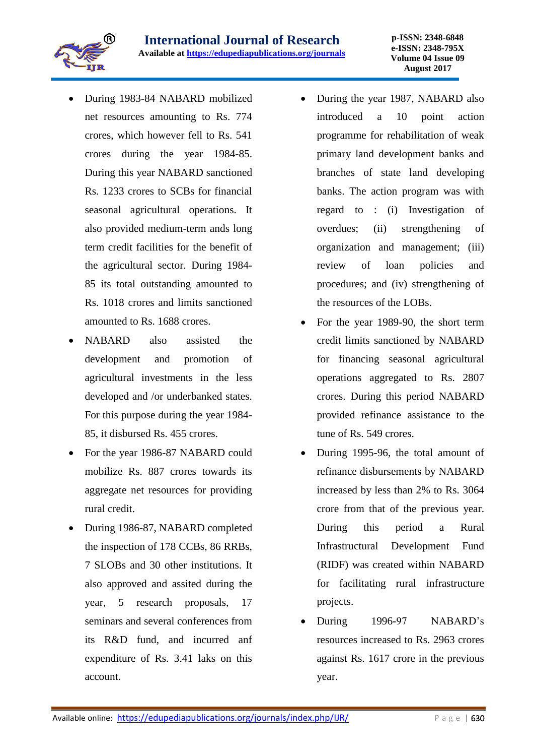- During 1983-84 NABARD mobilized net resources amounting to Rs. 774 crores, which however fell to Rs. 541 crores during the year 1984-85. During this year NABARD sanctioned Rs. 1233 crores to SCBs for financial seasonal agricultural operations. It also provided medium-term ands long term credit facilities for the benefit of the agricultural sector. During 1984- 85 its total outstanding amounted to Rs. 1018 crores and limits sanctioned amounted to Rs. 1688 crores.
- NABARD also assisted the development and promotion of agricultural investments in the less developed and /or underbanked states. For this purpose during the year 1984- 85, it disbursed Rs. 455 crores.
- For the year 1986-87 NABARD could mobilize Rs. 887 crores towards its aggregate net resources for providing rural credit.
- During 1986-87, NABARD completed the inspection of 178 CCBs, 86 RRBs, 7 SLOBs and 30 other institutions. It also approved and assited during the year, 5 research proposals, 17 seminars and several conferences from its R&D fund, and incurred anf expenditure of Rs. 3.41 laks on this account.
- During the year 1987, NABARD also introduced a 10 point action programme for rehabilitation of weak primary land development banks and branches of state land developing banks. The action program was with regard to : (i) Investigation of overdues; (ii) strengthening of organization and management; (iii) review of loan policies and procedures; and (iv) strengthening of the resources of the LOBs.
- For the year 1989-90, the short term credit limits sanctioned by NABARD for financing seasonal agricultural operations aggregated to Rs. 2807 crores. During this period NABARD provided refinance assistance to the tune of Rs. 549 crores.
- During 1995-96, the total amount of refinance disbursements by NABARD increased by less than 2% to Rs. 3064 crore from that of the previous year. During this period a Rural Infrastructural Development Fund (RIDF) was created within NABARD for facilitating rural infrastructure projects.
- During 1996-97 NABARD's resources increased to Rs. 2963 crores against Rs. 1617 crore in the previous year.

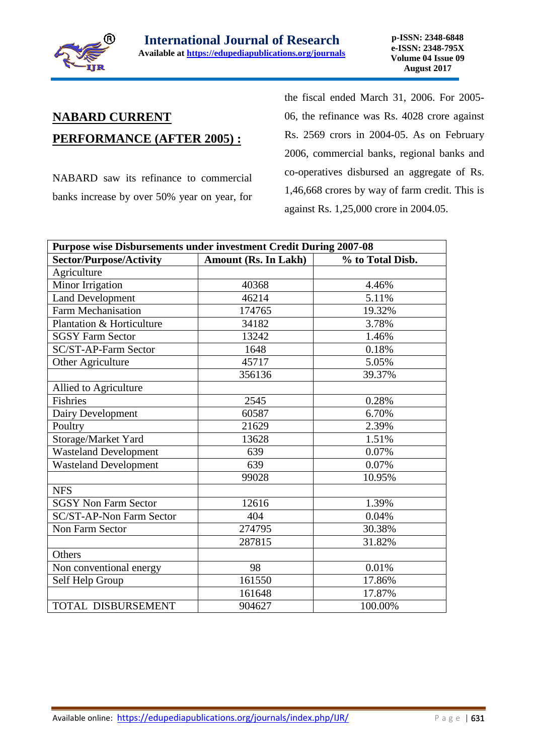

# **NABARD CURRENT**

## **PERFORMANCE (AFTER 2005) :**

NABARD saw its refinance to commercial banks increase by over 50% year on year, for the fiscal ended March 31, 2006. For 2005- 06, the refinance was Rs. 4028 crore against Rs. 2569 crors in 2004-05. As on February 2006, commercial banks, regional banks and co-operatives disbursed an aggregate of Rs. 1,46,668 crores by way of farm credit. This is against Rs. 1,25,000 crore in 2004.05.

| Purpose wise Disbursements under investment Credit During 2007-08 |                             |                  |  |
|-------------------------------------------------------------------|-----------------------------|------------------|--|
| <b>Sector/Purpose/Activity</b>                                    | <b>Amount (Rs. In Lakh)</b> | % to Total Disb. |  |
| Agriculture                                                       |                             |                  |  |
| Minor Irrigation                                                  | 40368                       | 4.46%            |  |
| <b>Land Development</b>                                           | 46214                       | 5.11%            |  |
| <b>Farm Mechanisation</b>                                         | 174765                      | 19.32%           |  |
| Plantation & Horticulture                                         | 34182                       | 3.78%            |  |
| <b>SGSY Farm Sector</b>                                           | 13242                       | 1.46%            |  |
| SC/ST-AP-Farm Sector                                              | 1648                        | 0.18%            |  |
| Other Agriculture                                                 | 45717                       | 5.05%            |  |
|                                                                   | 356136                      | 39.37%           |  |
| Allied to Agriculture                                             |                             |                  |  |
| <b>Fishries</b>                                                   | 2545                        | 0.28%            |  |
| Dairy Development                                                 | 60587                       | 6.70%            |  |
| Poultry                                                           | 21629                       | 2.39%            |  |
| Storage/Market Yard                                               | 13628                       | 1.51%            |  |
| <b>Wasteland Development</b>                                      | 639                         | 0.07%            |  |
| <b>Wasteland Development</b>                                      | 639                         | 0.07%            |  |
|                                                                   | 99028                       | 10.95%           |  |
| <b>NFS</b>                                                        |                             |                  |  |
| <b>SGSY Non Farm Sector</b>                                       | 12616                       | 1.39%            |  |
| <b>SC/ST-AP-Non Farm Sector</b>                                   | 404                         | 0.04%            |  |
| <b>Non Farm Sector</b>                                            | 274795                      | 30.38%           |  |
|                                                                   | 287815                      | 31.82%           |  |
| Others                                                            |                             |                  |  |
| Non conventional energy                                           | 98                          | 0.01%            |  |
| Self Help Group                                                   | 161550                      | 17.86%           |  |
|                                                                   | 161648                      | 17.87%           |  |
| TOTAL DISBURSEMENT                                                | 904627                      | 100.00%          |  |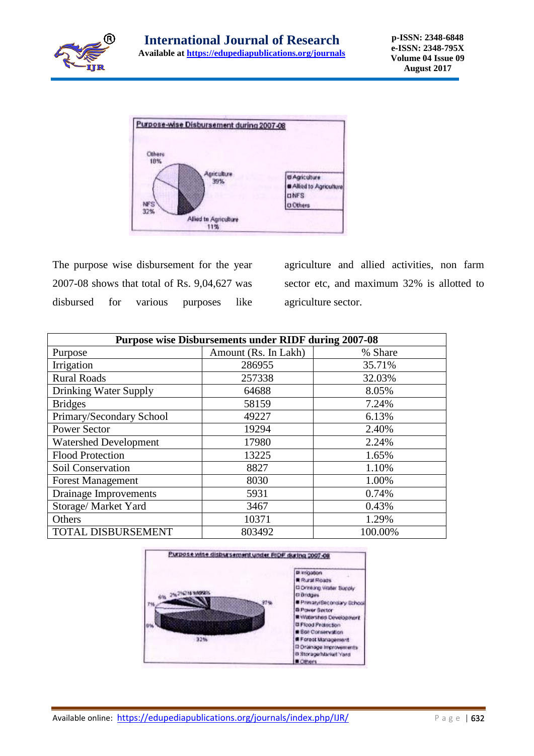



The purpose wise disbursement for the year 2007-08 shows that total of Rs. 9,04,627 was disbursed for various purposes like agriculture and allied activities, non farm sector etc, and maximum 32% is allotted to agriculture sector.

| <b>Purpose wise Disbursements under RIDF during 2007-08</b> |                      |         |
|-------------------------------------------------------------|----------------------|---------|
| Purpose                                                     | Amount (Rs. In Lakh) | % Share |
| Irrigation                                                  | 286955               | 35.71%  |
| <b>Rural Roads</b>                                          | 257338               | 32.03%  |
| Drinking Water Supply                                       | 64688                | 8.05%   |
| <b>Bridges</b>                                              | 58159                | 7.24%   |
| Primary/Secondary School                                    | 49227                | 6.13%   |
| <b>Power Sector</b>                                         | 19294                | 2.40%   |
| <b>Watershed Development</b>                                | 17980                | 2.24%   |
| <b>Flood Protection</b>                                     | 13225                | 1.65%   |
| Soil Conservation                                           | 8827                 | 1.10%   |
| <b>Forest Management</b>                                    | 8030                 | 1.00%   |
| Drainage Improvements                                       | 5931                 | 0.74%   |
| Storage/ Market Yard                                        | 3467                 | 0.43%   |
| Others                                                      | 10371                | 1.29%   |
| TOTAL DISBURSEMENT                                          | 803492               | 100.00% |

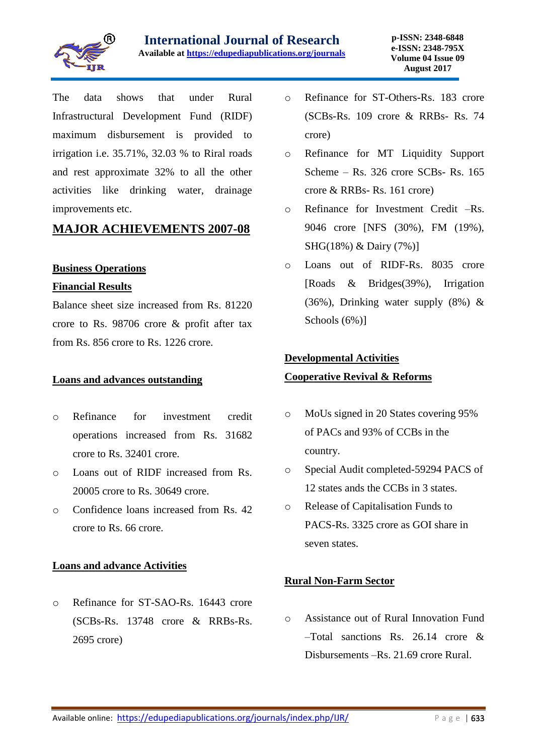

The data shows that under Rural Infrastructural Development Fund (RIDF) maximum disbursement is provided to irrigation i.e. 35.71%, 32.03 % to Riral roads and rest approximate 32% to all the other activities like drinking water, drainage improvements etc.

## **MAJOR ACHIEVEMENTS 2007-08**

#### **Business Operations**

#### **Financial Results**

Balance sheet size increased from Rs. 81220 crore to Rs. 98706 crore & profit after tax from Rs. 856 crore to Rs. 1226 crore.

#### **Loans and advances outstanding**

- o Refinance for investment credit operations increased from Rs. 31682 crore to Rs. 32401 crore.
- o Loans out of RIDF increased from Rs. 20005 crore to Rs. 30649 crore.
- o Confidence loans increased from Rs. 42 crore to Rs. 66 crore.

#### **Loans and advance Activities**

o Refinance for ST-SAO-Rs. 16443 crore (SCBs-Rs. 13748 crore & RRBs-Rs. 2695 crore)

- o Refinance for ST-Others-Rs. 183 crore (SCBs-Rs. 109 crore & RRBs- Rs. 74 crore)
- o Refinance for MT Liquidity Support Scheme – Rs. 326 crore SCBs- Rs. 165 crore & RRBs- Rs. 161 crore)
- o Refinance for Investment Credit –Rs. 9046 crore [NFS (30%), FM (19%), SHG(18%) & Dairy (7%)]
- o Loans out of RIDF-Rs. 8035 crore [Roads & Bridges(39%), Irrigation (36%), Drinking water supply (8%) & Schools (6%)]

#### **Developmental Activities**

#### **Cooperative Revival & Reforms**

- o MoUs signed in 20 States covering 95% of PACs and 93% of CCBs in the country.
- o Special Audit completed-59294 PACS of 12 states ands the CCBs in 3 states.
- o Release of Capitalisation Funds to PACS-Rs. 3325 crore as GOI share in seven states.

#### **Rural Non-Farm Sector**

o Assistance out of Rural Innovation Fund –Total sanctions Rs. 26.14 crore & Disbursements –Rs. 21.69 crore Rural.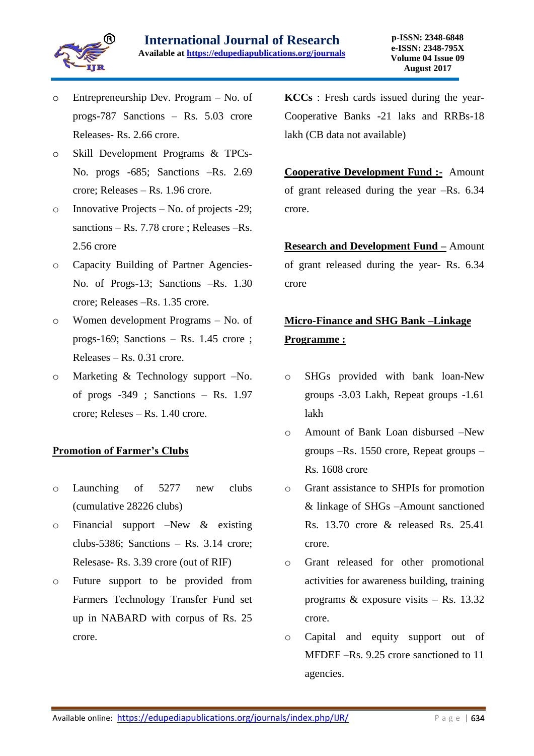

- o Entrepreneurship Dev. Program No. of progs-787 Sanctions – Rs. 5.03 crore Releases- Rs. 2.66 crore.
- o Skill Development Programs & TPCs-No. progs -685; Sanctions –Rs. 2.69 crore; Releases – Rs. 1.96 crore.
- o Innovative Projects No. of projects -29; sanctions – Rs. 7.78 crore ; Releases –Rs. 2.56 crore
- o Capacity Building of Partner Agencies-No. of Progs-13; Sanctions –Rs. 1.30 crore; Releases –Rs. 1.35 crore.
- o Women development Programs No. of progs-169; Sanctions – Rs. 1.45 crore ; Releases – Rs. 0.31 crore.
- o Marketing & Technology support –No. of progs -349 ; Sanctions – Rs. 1.97 crore; Releses – Rs. 1.40 crore.

#### **Promotion of Farmer's Clubs**

- o Launching of 5277 new clubs (cumulative 28226 clubs)
- $\circ$  Financial support –New & existing clubs-5386; Sanctions – Rs. 3.14 crore; Relesase- Rs. 3.39 crore (out of RIF)
- o Future support to be provided from Farmers Technology Transfer Fund set up in NABARD with corpus of Rs. 25 crore.

**KCCs** : Fresh cards issued during the year-Cooperative Banks -21 laks and RRBs-18 lakh (CB data not available)

**Cooperative Development Fund :-** Amount of grant released during the year –Rs. 6.34 crore.

**Research and Development Fund –** Amount of grant released during the year- Rs. 6.34 crore

# **Micro-Finance and SHG Bank –Linkage Programme :**

- o SHGs provided with bank loan-New groups -3.03 Lakh, Repeat groups -1.61 lakh
- o Amount of Bank Loan disbursed –New groups –Rs. 1550 crore, Repeat groups – Rs. 1608 crore
- o Grant assistance to SHPIs for promotion & linkage of SHGs –Amount sanctioned Rs. 13.70 crore & released Rs. 25.41 crore.
- o Grant released for other promotional activities for awareness building, training programs & exposure visits – Rs. 13.32 crore.
- o Capital and equity support out of MFDEF –Rs. 9.25 crore sanctioned to 11 agencies.